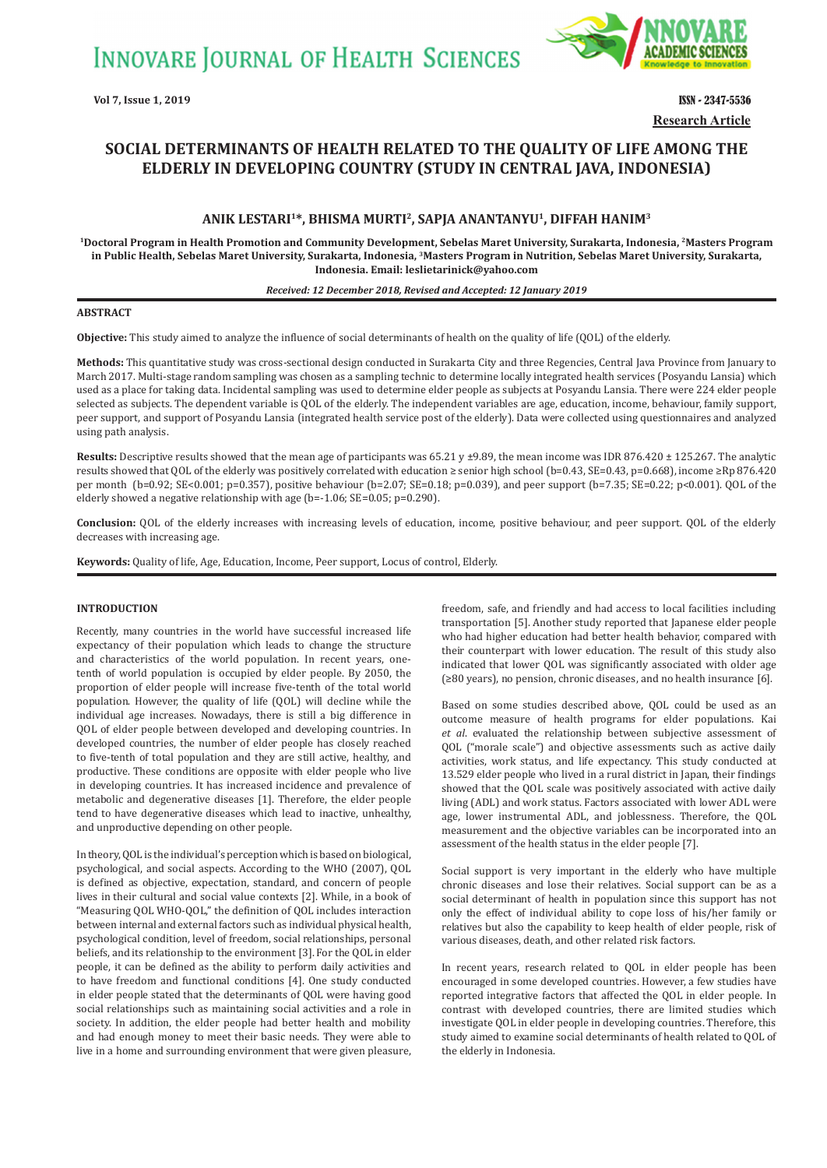**INNOVARE JOURNAL OF HEALTH SCIENCES** 



**Research Article Vol 7, Issue 1, 2019** ISSN - 2347-5536

# **SOCIAL DETERMINANTS OF HEALTH RELATED TO THE QUALITY OF LIFE AMONG THE ELDERLY IN DEVELOPING COUNTRY (STUDY IN CENTRAL JAVA, INDONESIA)**

### **ANIK LESTARI1\*, BHISMA MURTI<sup>2</sup>, SAPJA ANANTANYU<sup>1</sup>, DIFFAH HANIM<sup>3</sup>**

**<sup>1</sup>Doctoral Program in Health Promotion and Community Development, Sebelas Maret University, Surakarta, Indonesia, <sup>2</sup>Masters Program in Public Health, Sebelas Maret University, Surakarta, Indonesia, <sup>3</sup>Masters Program in Nutrition, Sebelas Maret University, Surakarta, Indonesia. Email: leslietarinick@yahoo.com**

#### *Received: 12 December 2018, Revised and Accepted: 12 January 2019*

### **ABSTRACT**

**Objective:** This study aimed to analyze the influence of social determinants of health on the quality of life (QOL) of the elderly.

**Methods:** This quantitative study was cross-sectional design conducted in Surakarta City and three Regencies, Central Java Province from January to March 2017. Multi-stage random sampling was chosen as a sampling technic to determine locally integrated health services (Posyandu Lansia) which used as a place for taking data. Incidental sampling was used to determine elder people as subjects at Posyandu Lansia. There were 224 elder people selected as subjects. The dependent variable is QOL of the elderly. The independent variables are age, education, income, behaviour, family support, peer support, and support of Posyandu Lansia (integrated health service post of the elderly). Data were collected using questionnaires and analyzed using path analysis.

Results: Descriptive results showed that the mean age of participants was 65.21 y ±9.89, the mean income was IDR 876.420 ± 125.267. The analytic results showed that QOL of the elderly was positively correlated with education ≥ senior high school (b=0.43, SE=0.43, p=0.668), income ≥Rp 876.420 per month (b=0.92; SE<0.001; p=0.357), positive behaviour (b=2.07; SE=0.18; p=0.039), and peer support (b=7.35; SE=0.22; p<0.001). QOL of the elderly showed a negative relationship with age (b=-1.06; SE=0.05; p=0.290).

**Conclusion:** QOL of the elderly increases with increasing levels of education, income, positive behaviour, and peer support. QOL of the elderly decreases with increasing age.

**Keywords:** Quality of life, Age, Education, Income, Peer support, Locus of control, Elderly.

#### **INTRODUCTION**

Recently, many countries in the world have successful increased life expectancy of their population which leads to change the structure and characteristics of the world population. In recent years, onetenth of world population is occupied by elder people. By 2050, the proportion of elder people will increase five-tenth of the total world population. However, the quality of life (QOL) will decline while the individual age increases. Nowadays, there is still a big difference in QOL of elder people between developed and developing countries. In developed countries, the number of elder people has closely reached to five-tenth of total population and they are still active, healthy, and productive. These conditions are opposite with elder people who live in developing countries. It has increased incidence and prevalence of metabolic and degenerative diseases [1]. Therefore, the elder people tend to have degenerative diseases which lead to inactive, unhealthy, and unproductive depending on other people.

In theory, QOL is the individual's perception which is based on biological, psychological, and social aspects. According to the WHO (2007), QOL is defined as objective, expectation, standard, and concern of people lives in their cultural and social value contexts [2]. While, in a book of "Measuring QOL WHO-QOL," the definition of QOL includes interaction between internal and external factors such as individual physical health, psychological condition, level of freedom, social relationships, personal beliefs, and its relationship to the environment [3]. For the QOL in elder people, it can be defined as the ability to perform daily activities and to have freedom and functional conditions [4]. One study conducted in elder people stated that the determinants of QOL were having good social relationships such as maintaining social activities and a role in society. In addition, the elder people had better health and mobility and had enough money to meet their basic needs. They were able to live in a home and surrounding environment that were given pleasure, freedom, safe, and friendly and had access to local facilities including transportation [5]. Another study reported that Japanese elder people who had higher education had better health behavior, compared with their counterpart with lower education. The result of this study also indicated that lower QOL was significantly associated with older age (≥80 years), no pension, chronic diseases, and no health insurance [6].

Based on some studies described above, QOL could be used as an outcome measure of health programs for elder populations. Kai *et al*. evaluated the relationship between subjective assessment of QOL ("morale scale") and objective assessments such as active daily activities, work status, and life expectancy. This study conducted at 13.529 elder people who lived in a rural district in Japan, their findings showed that the QOL scale was positively associated with active daily living (ADL) and work status. Factors associated with lower ADL were age, lower instrumental ADL, and joblessness. Therefore, the QOL measurement and the objective variables can be incorporated into an assessment of the health status in the elder people [7].

Social support is very important in the elderly who have multiple chronic diseases and lose their relatives. Social support can be as a social determinant of health in population since this support has not only the effect of individual ability to cope loss of his/her family or relatives but also the capability to keep health of elder people, risk of various diseases, death, and other related risk factors.

In recent years, research related to QOL in elder people has been encouraged in some developed countries. However, a few studies have reported integrative factors that affected the QOL in elder people. In contrast with developed countries, there are limited studies which investigate QOL in elder people in developing countries. Therefore, this study aimed to examine social determinants of health related to QOL of the elderly in Indonesia.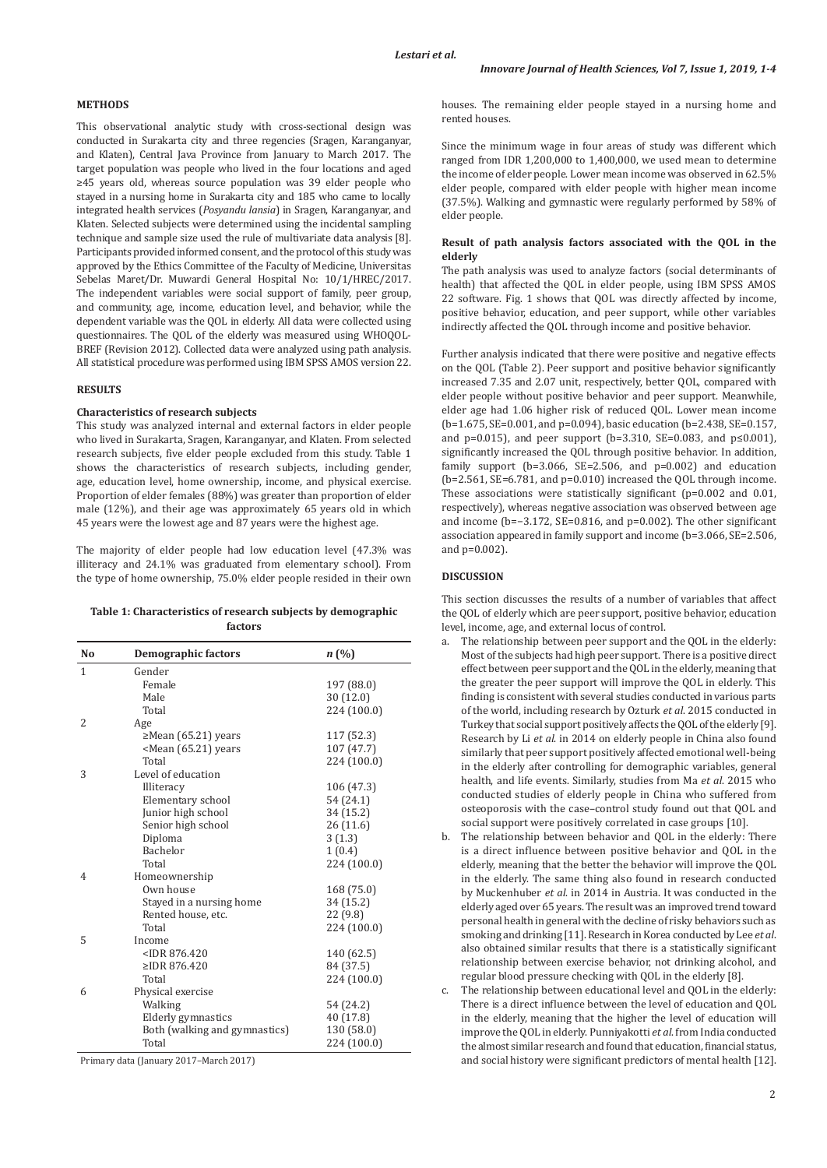#### **METHODS**

This observational analytic study with cross-sectional design was conducted in Surakarta city and three regencies (Sragen, Karanganyar, and Klaten), Central Java Province from January to March 2017. The target population was people who lived in the four locations and aged ≥45 years old, whereas source population was 39 elder people who stayed in a nursing home in Surakarta city and 185 who came to locally integrated health services (*Posyandu lansia*) in Sragen, Karanganyar, and Klaten. Selected subjects were determined using the incidental sampling technique and sample size used the rule of multivariate data analysis [8]. Participants provided informed consent, and the protocol of this study was approved by the Ethics Committee of the Faculty of Medicine, Universitas Sebelas Maret/Dr. Muwardi General Hospital No: 10/1/HREC/2017. The independent variables were social support of family, peer group, and community, age, income, education level, and behavior, while the dependent variable was the QOL in elderly. All data were collected using questionnaires. The QOL of the elderly was measured using WHOQOL-BREF (Revision 2012). Collected data were analyzed using path analysis. All statistical procedure was performed using IBM SPSS AMOS version 22.

### **RESULTS**

### **Characteristics of research subjects**

This study was analyzed internal and external factors in elder people who lived in Surakarta, Sragen, Karanganyar, and Klaten. From selected research subjects, five elder people excluded from this study. Table 1 shows the characteristics of research subjects, including gender, age, education level, home ownership, income, and physical exercise. Proportion of elder females (88%) was greater than proportion of elder male (12%), and their age was approximately 65 years old in which 45 years were the lowest age and 87 years were the highest age.

The majority of elder people had low education level (47.3% was illiteracy and 24.1% was graduated from elementary school). From the type of home ownership, 75.0% elder people resided in their own

#### **Table 1: Characteristics of research subjects by demographic factors**

| N <sub>0</sub> | <b>Demographic factors</b>                                 | n(%)        |
|----------------|------------------------------------------------------------|-------------|
| $\mathbf{1}$   | Gender                                                     |             |
|                | Female                                                     | 197 (88.0)  |
|                | Male                                                       | 30 (12.0)   |
|                | Total                                                      | 224 (100.0) |
| 2              | Age                                                        |             |
|                | $\geq$ Mean (65.21) years                                  | 117 (52.3)  |
|                | <mean (65.21)="" td="" years<=""><td>107(47.7)</td></mean> | 107(47.7)   |
|                | Total                                                      | 224 (100.0) |
| 3              | Level of education                                         |             |
|                | Illiteracy                                                 | 106 (47.3)  |
|                | Elementary school                                          | 54 (24.1)   |
|                | Junior high school                                         | 34 (15.2)   |
|                | Senior high school                                         | 26(11.6)    |
|                | Diploma                                                    | 3(1.3)      |
|                | Bachelor                                                   | 1(0.4)      |
|                | Total                                                      | 224 (100.0) |
| 4              | Homeownership                                              |             |
|                | Own house                                                  | 168 (75.0)  |
|                | Stayed in a nursing home                                   | 34 (15.2)   |
|                | Rented house, etc.                                         | 22 (9.8)    |
|                | Total                                                      | 224 (100.0) |
| 5              | Income                                                     |             |
|                | $<$ IDR 876.420                                            | 140 (62.5)  |
|                | ≥IDR 876.420                                               | 84 (37.5)   |
|                | Total                                                      | 224 (100.0) |
| 6              | Physical exercise                                          |             |
|                | Walking                                                    | 54 (24.2)   |
|                | Elderly gymnastics                                         | 40 (17.8)   |
|                | Both (walking and gymnastics)                              | 130 (58.0)  |
|                | Total                                                      | 224 (100.0) |

Primary data (January 2017–March 2017)

houses. The remaining elder people stayed in a nursing home and rented houses.

Since the minimum wage in four areas of study was different which ranged from IDR 1,200,000 to 1,400,000, we used mean to determine the income of elder people. Lower mean income was observed in 62.5% elder people, compared with elder people with higher mean income (37.5%). Walking and gymnastic were regularly performed by 58% of elder people.

#### **Result of path analysis factors associated with the QOL in the elderly**

The path analysis was used to analyze factors (social determinants of health) that affected the QOL in elder people, using IBM SPSS AMOS 22 software. Fig. 1 shows that QOL was directly affected by income, positive behavior, education, and peer support, while other variables indirectly affected the QOL through income and positive behavior.

Further analysis indicated that there were positive and negative effects on the QOL (Table 2). Peer support and positive behavior significantly increased 7.35 and 2.07 unit, respectively, better QOL, compared with elder people without positive behavior and peer support. Meanwhile, elder age had 1.06 higher risk of reduced QOL. Lower mean income (b=1.675, SE=0.001, and p=0.094), basic education (b=2.438, SE=0.157, and p=0.015), and peer support (b=3.310, SE=0.083, and p≤0.001), significantly increased the QOL through positive behavior. In addition, family support ( $b=3.066$ ,  $SE=2.506$ , and  $p=0.002$ ) and education (b=2.561, SE=6.781, and p=0.010) increased the QOL through income. These associations were statistically significant (p=0.002 and 0.01, respectively), whereas negative association was observed between age and income (b=−3.172, SE=0.816, and p=0.002). The other significant association appeared in family support and income (b=3.066, SE=2.506, and p=0.002).

#### **DISCUSSION**

This section discusses the results of a number of variables that affect the QOL of elderly which are peer support, positive behavior, education level, income, age, and external locus of control.

- a. The relationship between peer support and the QOL in the elderly: Most of the subjects had high peer support. There is a positive direct effect between peer support and the QOL in the elderly, meaning that the greater the peer support will improve the QOL in elderly. This finding is consistent with several studies conducted in various parts of the world, including research by Ozturk *et al*. 2015 conducted in Turkey that social support positively affects the QOL of the elderly [9]. Research by Li *et al*. in 2014 on elderly people in China also found similarly that peer support positively affected emotional well-being in the elderly after controlling for demographic variables, general health, and life events. Similarly, studies from Ma *et al*. 2015 who conducted studies of elderly people in China who suffered from osteoporosis with the case–control study found out that QOL and social support were positively correlated in case groups [10].
- b. The relationship between behavior and QOL in the elderly: There is a direct influence between positive behavior and QOL in the elderly, meaning that the better the behavior will improve the QOL in the elderly. The same thing also found in research conducted by Muckenhuber *et al*. in 2014 in Austria. It was conducted in the elderly aged over 65 years. The result was an improved trend toward personal health in general with the decline of risky behaviors such as smoking and drinking [11]. Research in Korea conducted by Lee *et al*. also obtained similar results that there is a statistically significant relationship between exercise behavior, not drinking alcohol, and regular blood pressure checking with QOL in the elderly [8].
- c. The relationship between educational level and QOL in the elderly: There is a direct influence between the level of education and QOL in the elderly, meaning that the higher the level of education will improve the QOL in elderly. Punniyakotti *et al*. from India conducted the almost similar research and found that education, financial status, and social history were significant predictors of mental health [12].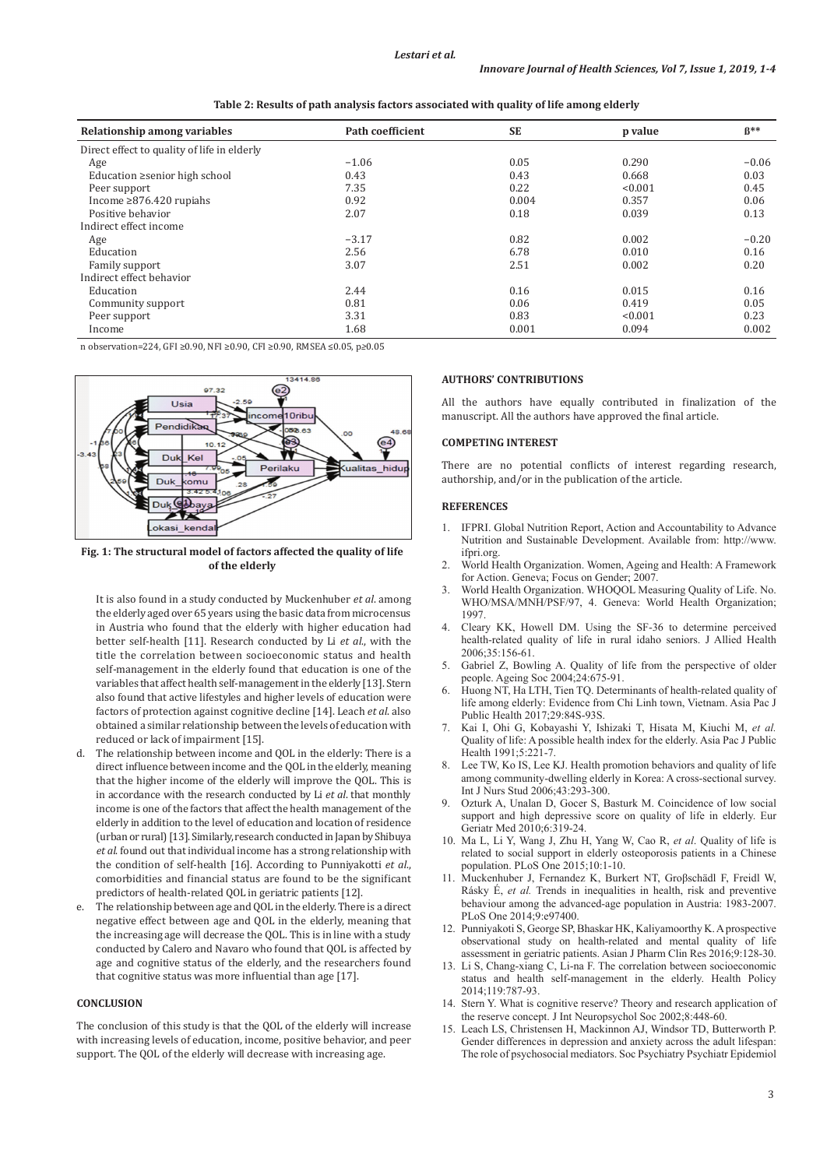| Relationship among variables                | Path coefficient | <b>SE</b> | p value | $B**$   |
|---------------------------------------------|------------------|-----------|---------|---------|
| Direct effect to quality of life in elderly |                  |           |         |         |
| Age                                         | $-1.06$          | 0.05      | 0.290   | $-0.06$ |
| Education ≥senior high school               | 0.43             | 0.43      | 0.668   | 0.03    |
| Peer support                                | 7.35             | 0.22      | < 0.001 | 0.45    |
| Income $\geq 876.420$ rupiahs               | 0.92             | 0.004     | 0.357   | 0.06    |
| Positive behavior                           | 2.07             | 0.18      | 0.039   | 0.13    |
| Indirect effect income                      |                  |           |         |         |
| Age                                         | $-3.17$          | 0.82      | 0.002   | $-0.20$ |
| Education                                   | 2.56             | 6.78      | 0.010   | 0.16    |
| Family support                              | 3.07             | 2.51      | 0.002   | 0.20    |
| Indirect effect behavior                    |                  |           |         |         |
| Education                                   | 2.44             | 0.16      | 0.015   | 0.16    |
| Community support                           | 0.81             | 0.06      | 0.419   | 0.05    |
| Peer support                                | 3.31             | 0.83      | < 0.001 | 0.23    |
| Income                                      | 1.68             | 0.001     | 0.094   | 0.002   |

**Table 2: Results of path analysis factors associated with quality of life among elderly**

n observation=224, GFI ≥0.90, NFI ≥0.90, CFI ≥0.90, RMSEA ≤0.05, p*≥*0.05



**Fig. 1: The structural model of factors affected the quality of life of the elderly**

It is also found in a study conducted by Muckenhuber *et al*. among the elderly aged over 65 years using the basic data from microcensus in Austria who found that the elderly with higher education had better self-health [11]. Research conducted by Li *et al*., with the title the correlation between socioeconomic status and health self-management in the elderly found that education is one of the variables that affect health self-management in the elderly [13]. Stern also found that active lifestyles and higher levels of education were factors of protection against cognitive decline [14]. Leach *et al*. also obtained a similar relationship between the levels of education with reduced or lack of impairment [15].

- d. The relationship between income and QOL in the elderly: There is a direct influence between income and the QOL in the elderly, meaning that the higher income of the elderly will improve the QOL. This is in accordance with the research conducted by Li *et al*. that monthly income is one of the factors that affect the health management of the elderly in addition to the level of education and location of residence (urban or rural) [13]. Similarly, research conducted in Japan by Shibuya *et al*. found out that individual income has a strong relationship with the condition of self-health [16]. According to Punniyakotti *et al*., comorbidities and financial status are found to be the significant predictors of health-related QOL in geriatric patients [12].
- The relationship between age and QOL in the elderly. There is a direct negative effect between age and QOL in the elderly, meaning that the increasing age will decrease the QOL. This is in line with a study conducted by Calero and Navaro who found that QOL is affected by age and cognitive status of the elderly, and the researchers found that cognitive status was more influential than age [17].

### **CONCLUSION**

The conclusion of this study is that the QOL of the elderly will increase with increasing levels of education, income, positive behavior, and peer support. The QOL of the elderly will decrease with increasing age.

#### **AUTHORS' CONTRIBUTIONS**

All the authors have equally contributed in finalization of the manuscript. All the authors have approved the final article.

#### **COMPETING INTEREST**

There are no potential conflicts of interest regarding research, authorship, and/or in the publication of the article.

#### **REFERENCES**

- 1. IFPRI. Global Nutrition Report, Action and Accountability to Advance Nutrition and Sustainable Development. Available from: http://www. ifpri.org.
- 2. World Health Organization. Women, Ageing and Health: A Framework for Action. Geneva; Focus on Gender; 2007.
- 3. World Health Organization. WHOQOL Measuring Quality of Life. No. WHO/MSA/MNH/PSF/97, 4. Geneva: World Health Organization; 1997.
- 4. Cleary KK, Howell DM. Using the SF-36 to determine perceived health-related quality of life in rural idaho seniors. J Allied Health 2006;35:156-61.
- 5. Gabriel Z, Bowling A. Quality of life from the perspective of older people. Ageing Soc 2004;24:675-91.
- Huong NT, Ha LTH, Tien TO. Determinants of health-related quality of life among elderly: Evidence from Chi Linh town, Vietnam. Asia Pac J Public Health 2017;29:84S-93S.
- 7. Kai I, Ohi G, Kobayashi Y, Ishizaki T, Hisata M, Kiuchi M, *et al.* Quality of life: A possible health index for the elderly. Asia Pac J Public Health 1991;5:221-7.
- Lee TW, Ko IS, Lee KJ. Health promotion behaviors and quality of life among community-dwelling elderly in Korea: A cross-sectional survey. Int J Nurs Stud 2006;43:293-300.
- Ozturk A, Unalan D, Gocer S, Basturk M. Coincidence of low social support and high depressive score on quality of life in elderly. Eur Geriatr Med 2010;6:319-24.
- 10. Ma L, Li Y, Wang J, Zhu H, Yang W, Cao R, *et al*. Quality of life is related to social support in elderly osteoporosis patients in a Chinese population. PLoS One 2015;10:1-10.
- 11. Muckenhuber J, Fernandez K, Burkert NT, Großschädl F, Freidl W, Rásky É, *et al.* Trends in inequalities in health, risk and preventive behaviour among the advanced-age population in Austria: 1983-2007. PLoS One 2014;9:e97400.
- 12. Punniyakoti S, George SP, Bhaskar HK, Kaliyamoorthy K. Aprospective observational study on health-related and mental quality of life assessment in geriatric patients. Asian J Pharm Clin Res 2016;9:128-30.
- 13. Li S, Chang-xiang C, Li-na F. The correlation between socioeconomic status and health self-management in the elderly. Health Policy 2014;119:787-93.
- 14. Stern Y. What is cognitive reserve? Theory and research application of the reserve concept. J Int Neuropsychol Soc 2002;8:448-60.
- 15. Leach LS, Christensen H, Mackinnon AJ, Windsor TD, Butterworth P. Gender differences in depression and anxiety across the adult lifespan: The role of psychosocial mediators. Soc Psychiatry Psychiatr Epidemiol